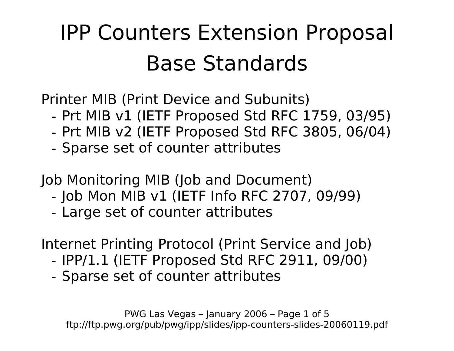## IPP Counters Extension Proposal Base Standards

Printer MIB (Print Device and Subunits)

- Prt MIB v1 (IETF Proposed Std RFC 1759, 03/95)
- Prt MIB v2 (IETF Proposed Std RFC 3805, 06/04)
- Sparse set of counter attributes

Job Monitoring MIB (Job and Document)

- Job Mon MIB v1 (IETF Info RFC 2707, 09/99)
- Large set of counter attributes

Internet Printing Protocol (Print Service and Job)

- IPP/1.1 (IETF Proposed Std RFC 2911, 09/00)
- Sparse set of counter attributes

PWG Las Vegas – January 2006 – Page 1 of 5 ftp://ftp.pwg.org/pub/pwg/ipp/slides/ipp-counters-slides-20060119.pdf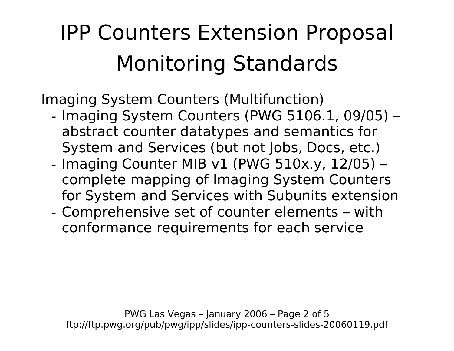## IPP Counters Extension Proposal Monitoring Standards

Imaging System Counters (Multifunction)

- Imaging System Counters (PWG 5106.1, 09/05) abstract counter datatypes and semantics for System and Services (but not Jobs, Docs, etc.)
- Imaging Counter MIB v1 (PWG 510x.y, 12/05) complete mapping of Imaging System Counters for System and Services with Subunits extension
- Comprehensive set of counter elements with conformance requirements for each service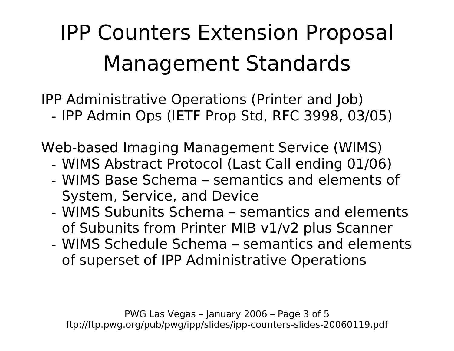## IPP Counters Extension Proposal Management Standards

IPP Administrative Operations (Printer and Job) - IPP Admin Ops (IETF Prop Std, RFC 3998, 03/05)

Web-based Imaging Management Service (WIMS)

- WIMS Abstract Protocol (Last Call ending 01/06)
- WIMS Base Schema semantics and elements of System, Service, and Device
- WIMS Subunits Schema semantics and elements of Subunits from Printer MIB v1/v2 plus Scanner
- WIMS Schedule Schema semantics and elements of superset of IPP Administrative Operations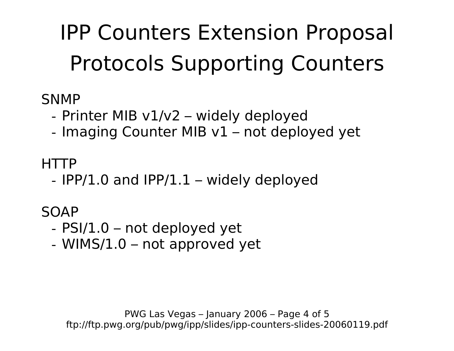IPP Counters Extension Proposal Protocols Supporting Counters

**SNMP** 

- Printer MIB v1/v2 – widely deployed

- Imaging Counter MIB v1 – not deployed yet

HTTP

- IPP/1.0 and IPP/1.1 – widely deployed

SOAP

- PSI/1.0 not deployed yet
- WIMS/1.0 not approved yet